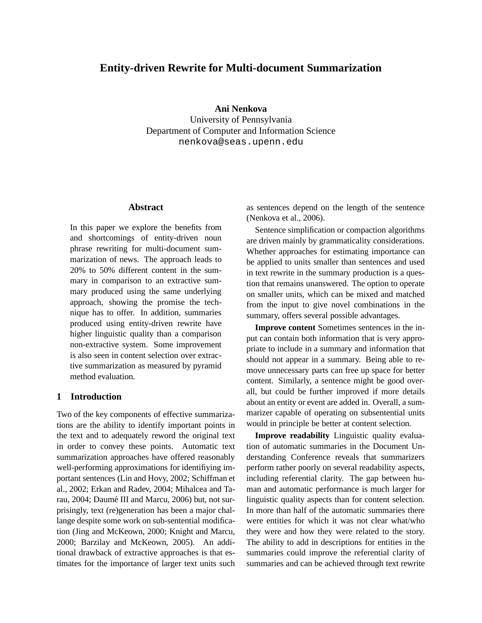# **Entity-driven Rewrite for Multi-document Summarization**

**Ani Nenkova**

University of Pennsylvania Department of Computer and Information Science nenkova@seas.upenn.edu

# **Abstract**

In this paper we explore the benefits from and shortcomings of entity-driven noun phrase rewriting for multi-document summarization of news. The approach leads to 20% to 50% different content in the summary in comparison to an extractive summary produced using the same underlying approach, showing the promise the technique has to offer. In addition, summaries produced using entity-driven rewrite have higher linguistic quality than a comparison non-extractive system. Some improvement is also seen in content selection over extractive summarization as measured by pyramid method evaluation.

## **1 Introduction**

Two of the key components of effective summarizations are the ability to identify important points in the text and to adequately reword the original text in order to convey these points. Automatic text summarization approaches have offered reasonably well-performing approximations for identifiying important sentences (Lin and Hovy, 2002; Schiffman et al., 2002; Erkan and Radev, 2004; Mihalcea and Tarau, 2004; Daumé III and Marcu, 2006) but, not surprisingly, text (re)generation has been a major challange despite some work on sub-sentential modification (Jing and McKeown, 2000; Knight and Marcu, 2000; Barzilay and McKeown, 2005). An additional drawback of extractive approaches is that estimates for the importance of larger text units such

as sentences depend on the length of the sentence (Nenkova et al., 2006).

Sentence simplification or compaction algorithms are driven mainly by grammaticality considerations. Whether approaches for estimating importance can be applied to units smaller than sentences and used in text rewrite in the summary production is a question that remains unanswered. The option to operate on smaller units, which can be mixed and matched from the input to give novel combinations in the summary, offers several possible advantages.

**Improve content** Sometimes sentences in the input can contain both information that is very appropriate to include in a summary and information that should not appear in a summary. Being able to remove unnecessary parts can free up space for better content. Similarly, a sentence might be good overall, but could be further improved if more details about an entity or event are added in. Overall, a summarizer capable of operating on subsentential units would in principle be better at content selection.

**Improve readability** Linguistic quality evaluation of automatic summaries in the Document Understanding Conference reveals that summarizers perform rather poorly on several readability aspects, including referential clarity. The gap between human and automatic performance is much larger for linguistic quality aspects than for content selection. In more than half of the automatic summaries there were entities for which it was not clear what/who they were and how they were related to the story. The ability to add in descriptions for entities in the summaries could improve the referential clarity of summaries and can be achieved through text rewrite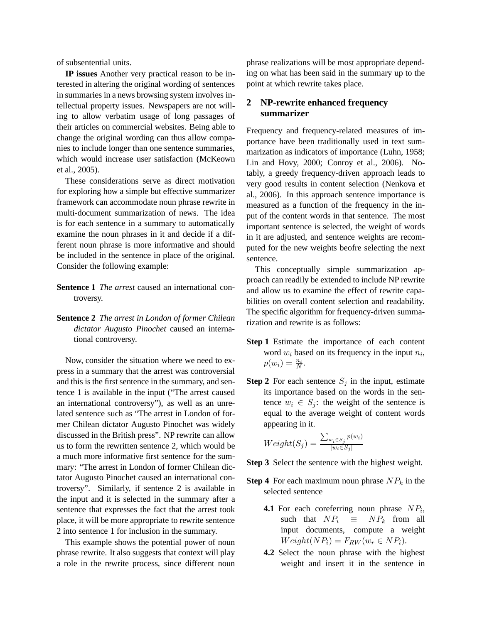of subsentential units.

**IP issues** Another very practical reason to be interested in altering the original wording of sentences in summaries in a news browsing system involves intellectual property issues. Newspapers are not willing to allow verbatim usage of long passages of their articles on commercial websites. Being able to change the original wording can thus allow companies to include longer than one sentence summaries, which would increase user satisfaction (McKeown et al., 2005).

These considerations serve as direct motivation for exploring how a simple but effective summarizer framework can accommodate noun phrase rewrite in multi-document summarization of news. The idea is for each sentence in a summary to automatically examine the noun phrases in it and decide if a different noun phrase is more informative and should be included in the sentence in place of the original. Consider the following example:

- **Sentence 1** *The arrest* caused an international controversy.
- **Sentence 2** *The arrest in London of former Chilean dictator Augusto Pinochet* caused an international controversy.

Now, consider the situation where we need to express in a summary that the arrest was controversial and this is the first sentence in the summary, and sentence 1 is available in the input ("The arrest caused an international controversy"), as well as an unrelated sentence such as "The arrest in London of former Chilean dictator Augusto Pinochet was widely discussed in the British press". NP rewrite can allow us to form the rewritten sentence 2, which would be a much more informative first sentence for the summary: "The arrest in London of former Chilean dictator Augusto Pinochet caused an international controversy". Similarly, if sentence 2 is available in the input and it is selected in the summary after a sentence that expresses the fact that the arrest took place, it will be more appropriate to rewrite sentence 2 into sentence 1 for inclusion in the summary.

This example shows the potential power of noun phrase rewrite. It also suggests that context will play a role in the rewrite process, since different noun phrase realizations will be most appropriate depending on what has been said in the summary up to the point at which rewrite takes place.

# **2 NP-rewrite enhanced frequency summarizer**

Frequency and frequency-related measures of importance have been traditionally used in text summarization as indicators of importance (Luhn, 1958; Lin and Hovy, 2000; Conroy et al., 2006). Notably, a greedy frequency-driven approach leads to very good results in content selection (Nenkova et al., 2006). In this approach sentence importance is measured as a function of the frequency in the input of the content words in that sentence. The most important sentence is selected, the weight of words in it are adjusted, and sentence weights are recomputed for the new weights beofre selecting the next sentence.

This conceptually simple summarization approach can readily be extended to include NP rewrite and allow us to examine the effect of rewrite capabilities on overall content selection and readability. The specific algorithm for frequency-driven summarization and rewrite is as follows:

- **Step 1** Estimate the importance of each content word  $w_i$  based on its frequency in the input  $n_i$ ,  $p(w_i) = \frac{n_i}{N}.$
- **Step 2** For each sentence  $S_i$  in the input, estimate its importance based on the words in the sentence  $w_i \in S_i$ : the weight of the sentence is equal to the average weight of content words appearing in it.

$$
Weight(S_j) = \frac{\sum_{w_i \in S_j} p(w_i)}{|w_i \in S_j|}
$$

- **Step 3** Select the sentence with the highest weight.
- **Step 4** For each maximum noun phrase  $NP_k$  in the selected sentence
	- **4.1** For each coreferring noun phrase  $NP_i$ , such that  $NP_i \equiv NP_k$  from all input documents, compute a weight  $Weight(NP_i) = F_{RW}(w_r \in NP_i).$
	- **4.2** Select the noun phrase with the highest weight and insert it in the sentence in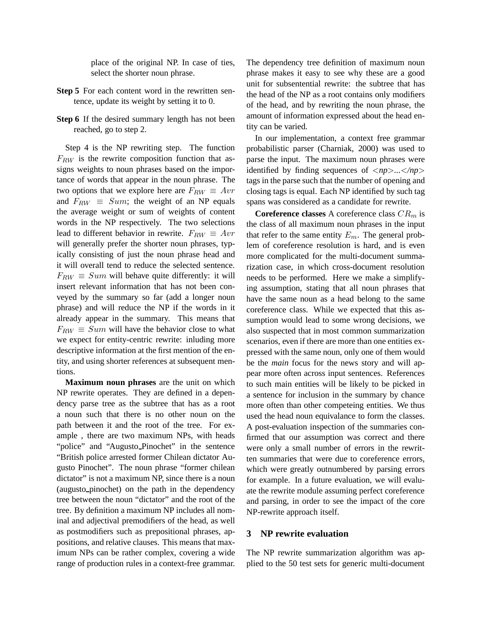place of the original NP. In case of ties, select the shorter noun phrase.

- **Step 5** For each content word in the rewritten sentence, update its weight by setting it to 0.
- **Step 6** If the desired summary length has not been reached, go to step 2.

Step 4 is the NP rewriting step. The function  $F_{RW}$  is the rewrite composition function that assigns weights to noun phrases based on the importance of words that appear in the noun phrase. The two options that we explore here are  $F_{RW} \equiv Avr$ and  $F_{RW} \equiv Sum$ ; the weight of an NP equals the average weight or sum of weights of content words in the NP respectively. The two selections lead to different behavior in rewrite.  $F_{RW} \equiv Avr$ will generally prefer the shorter noun phrases, typically consisting of just the noun phrase head and it will overall tend to reduce the selected sentence.  $F_{RW} \equiv Sum$  will behave quite differently: it will insert relevant information that has not been conveyed by the summary so far (add a longer noun phrase) and will reduce the NP if the words in it already appear in the summary. This means that  $F_{RW} \equiv Sum$  will have the behavior close to what we expect for entity-centric rewrite: inluding more descriptive information at the first mention of the entity, and using shorter references at subsequent mentions.

**Maximum noun phrases** are the unit on which NP rewrite operates. They are defined in a dependency parse tree as the subtree that has as a root a noun such that there is no other noun on the path between it and the root of the tree. For example , there are two maximum NPs, with heads "police" and "Augusto Pinochet" in the sentence "British police arrested former Chilean dictator Augusto Pinochet". The noun phrase "former chilean dictator" is not a maximum NP, since there is a noun (augusto pinochet) on the path in the dependency tree between the noun "dictator" and the root of the tree. By definition a maximum NP includes all nominal and adjectival premodifiers of the head, as well as postmodifiers such as prepositional phrases, appositions, and relative clauses. This means that maximum NPs can be rather complex, covering a wide range of production rules in a context-free grammar.

The dependency tree definition of maximum noun phrase makes it easy to see why these are a good unit for subsentential rewrite: the subtree that has the head of the NP as a root contains only modifiers of the head, and by rewriting the noun phrase, the amount of information expressed about the head entity can be varied.

In our implementation, a context free grammar probabilistic parser (Charniak, 2000) was used to parse the input. The maximum noun phrases were identified by finding sequences of <*np*>*...*<*/np*> tags in the parse such that the number of opening and closing tags is equal. Each NP identified by such tag spans was considered as a candidate for rewrite.

**Coreference classes** A coreference class  $CR_m$  is the class of all maximum noun phrases in the input that refer to the same entity  $E_m$ . The general problem of coreference resolution is hard, and is even more complicated for the multi-document summarization case, in which cross-document resolution needs to be performed. Here we make a simplifying assumption, stating that all noun phrases that have the same noun as a head belong to the same coreference class. While we expected that this assumption would lead to some wrong decisions, we also suspected that in most common summarization scenarios, even if there are more than one entities expressed with the same noun, only one of them would be the *main* focus for the news story and will appear more often across input sentences. References to such main entities will be likely to be picked in a sentence for inclusion in the summary by chance more often than other competeing entities. We thus used the head noun equivalance to form the classes. A post-evaluation inspection of the summaries confirmed that our assumption was correct and there were only a small number of errors in the rewritten summaries that were due to coreference errors, which were greatly outnumbered by parsing errors for example. In a future evaluation, we will evaluate the rewrite module assuming perfect coreference and parsing, in order to see the impact of the core NP-rewrite approach itself.

### **3 NP rewrite evaluation**

The NP rewrite summarization algorithm was applied to the 50 test sets for generic multi-document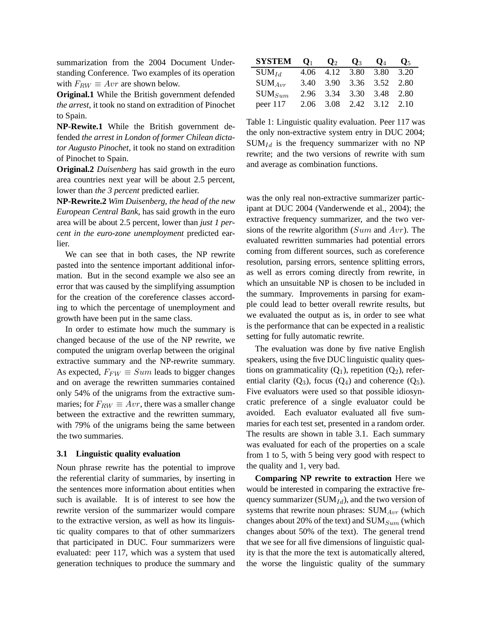summarization from the 2004 Document Understanding Conference. Two examples of its operation with  $F_{RW} \equiv Avr$  are shown below.

**Original.1** While the British government defended *the arrest*, it took no stand on extradition of Pinochet to Spain.

**NP-Rewite.1** While the British government defended *the arrest in London of former Chilean dictator Augusto Pinochet*, it took no stand on extradition of Pinochet to Spain.

**Original.2** *Duisenberg* has said growth in the euro area countries next year will be about 2.5 percent, lower than *the 3 percent* predicted earlier.

**NP-Rewrite.2** *Wim Duisenberg, the head of the new European Central Bank,* has said growth in the euro area will be about 2.5 percent, lower than *just 1 percent in the euro-zone unemployment* predicted earlier.

We can see that in both cases, the NP rewrite pasted into the sentence important additional information. But in the second example we also see an error that was caused by the simplifying assumption for the creation of the coreference classes according to which the percentage of unemployment and growth have been put in the same class.

In order to estimate how much the summary is changed because of the use of the NP rewrite, we computed the unigram overlap between the original extractive summary and the NP-rewrite summary. As expected,  $F_{FW} \equiv Sum$  leads to bigger changes and on average the rewritten summaries contained only 54% of the unigrams from the extractive summaries; for  $F_{RW} \equiv Avr$ , there was a smaller change between the extractive and the rewritten summary, with 79% of the unigrams being the same between the two summaries.

### **3.1 Linguistic quality evaluation**

Noun phrase rewrite has the potential to improve the referential clarity of summaries, by inserting in the sentences more information about entities when such is available. It is of interest to see how the rewrite version of the summarizer would compare to the extractive version, as well as how its linguistic quality compares to that of other summarizers that participated in DUC. Four summarizers were evaluated: peer 117, which was a system that used generation techniques to produce the summary and

| SYSTEM      |  | $\mathbf{Q}_1$ $\mathbf{Q}_2$ $\mathbf{Q}_3$ | ${\bf Q}_4$ | $\mathbf{O}_{5}$ |
|-------------|--|----------------------------------------------|-------------|------------------|
| $SUM_{Id}$  |  | 4.06 4.12 3.80 3.80 3.20                     |             |                  |
| $SUM_{Arr}$ |  | 3.40 3.90 3.36 3.52 2.80                     |             |                  |
| $SUM_{Sum}$ |  | 2.96 3.34 3.30 3.48 2.80                     |             |                  |
| peer $117$  |  | 2.06 3.08 2.42 3.12 2.10                     |             |                  |

Table 1: Linguistic quality evaluation. Peer 117 was the only non-extractive system entry in DUC 2004;  $SUM_{Id}$  is the frequency summarizer with no NP rewrite; and the two versions of rewrite with sum and average as combination functions.

was the only real non-extractive summarizer participant at DUC 2004 (Vanderwende et al., 2004); the extractive frequency summarizer, and the two versions of the rewrite algorithm  $(Sum$  and  $Avr$ ). The evaluated rewritten summaries had potential errors coming from different sources, such as coreference resolution, parsing errors, sentence splitting errors, as well as errors coming directly from rewrite, in which an unsuitable NP is chosen to be included in the summary. Improvements in parsing for example could lead to better overall rewrite results, but we evaluated the output as is, in order to see what is the performance that can be expected in a realistic setting for fully automatic rewrite.

The evaluation was done by five native English speakers, using the five DUC linguistic quality questions on grammaticality  $(Q_1)$ , repetition  $(Q_2)$ , referential clarity  $(Q_3)$ , focus  $(Q_4)$  and coherence  $(Q_5)$ . Five evaluators were used so that possible idiosyncratic preference of a single evaluator could be avoided. Each evaluator evaluated all five summaries for each test set, presented in a random order. The results are shown in table 3.1. Each summary was evaluated for each of the properties on a scale from 1 to 5, with 5 being very good with respect to the quality and 1, very bad.

**Comparing NP rewrite to extraction** Here we would be interested in comparing the extractive frequency summarizer (SUM $_{Id}$ ), and the two version of systems that rewrite noun phrases:  $SUM_{Avr}$  (which changes about 20% of the text) and  $SUM_{Sum}$  (which changes about 50% of the text). The general trend that we see for all five dimensions of linguistic quality is that the more the text is automatically altered, the worse the linguistic quality of the summary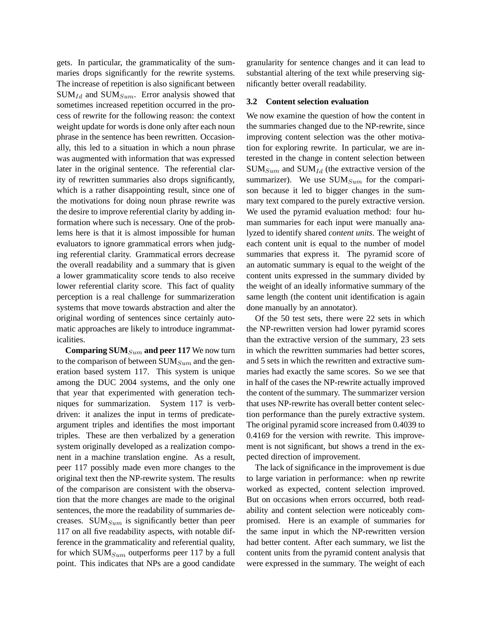gets. In particular, the grammaticality of the summaries drops significantly for the rewrite systems. The increase of repetition is also significant between  $SUM_{Id}$  and  $SUM_{Sum}$ . Error analysis showed that sometimes increased repetition occurred in the process of rewrite for the following reason: the context weight update for words is done only after each noun phrase in the sentence has been rewritten. Occasionally, this led to a situation in which a noun phrase was augmented with information that was expressed later in the original sentence. The referential clarity of rewritten summaries also drops significantly, which is a rather disappointing result, since one of the motivations for doing noun phrase rewrite was the desire to improve referential clarity by adding information where such is necessary. One of the problems here is that it is almost impossible for human evaluators to ignore grammatical errors when judging referential clarity. Grammatical errors decrease the overall readability and a summary that is given a lower grammaticality score tends to also receive lower referential clarity score. This fact of quality perception is a real challenge for summarizeration systems that move towards abstraction and alter the original wording of sentences since certainly automatic approaches are likely to introduce ingrammaticalities.

**Comparing SUM** $_{Sum}$  and peer 117 We now turn to the comparison of between  $SUM_{Sum}$  and the generation based system 117. This system is unique among the DUC 2004 systems, and the only one that year that experimented with generation techniques for summarization. System 117 is verbdriven: it analizes the input in terms of predicateargument triples and identifies the most important triples. These are then verbalized by a generation system originally developed as a realization component in a machine translation engine. As a result, peer 117 possibly made even more changes to the original text then the NP-rewrite system. The results of the comparison are consistent with the observation that the more changes are made to the original sentences, the more the readability of summaries decreases.  $SUM_{Sum}$  is significantly better than peer 117 on all five readability aspects, with notable difference in the grammaticality and referential quality, for which  $SUM_{Sum}$  outperforms peer 117 by a full point. This indicates that NPs are a good candidate granularity for sentence changes and it can lead to substantial altering of the text while preserving significantly better overall readability.

#### **3.2 Content selection evaluation**

We now examine the question of how the content in the summaries changed due to the NP-rewrite, since improving content selection was the other motivation for exploring rewrite. In particular, we are interested in the change in content selection between  $SUM_{Sum}$  and  $SUM_{Id}$  (the extractive version of the summarizer). We use  $SUM_{Sum}$  for the comparison because it led to bigger changes in the summary text compared to the purely extractive version. We used the pyramid evaluation method: four human summaries for each input were manually analyzed to identify shared *content units*. The weight of each content unit is equal to the number of model summaries that express it. The pyramid score of an automatic summary is equal to the weight of the content units expressed in the summary divided by the weight of an ideally informative summary of the same length (the content unit identification is again done manually by an annotator).

Of the 50 test sets, there were 22 sets in which the NP-rewritten version had lower pyramid scores than the extractive version of the summary, 23 sets in which the rewritten summaries had better scores, and 5 sets in which the rewritten and extractive summaries had exactly the same scores. So we see that in half of the cases the NP-rewrite actually improved the content of the summary. The summarizer version that uses NP-rewrite has overall better content selection performance than the purely extractive system. The original pyramid score increased from 0.4039 to 0.4169 for the version with rewrite. This improvement is not significant, but shows a trend in the expected direction of improvement.

The lack of significance in the improvement is due to large variation in performance: when np rewrite worked as expected, content selection improved. But on occasions when errors occurred, both readability and content selection were noticeably compromised. Here is an example of summaries for the same input in which the NP-rewritten version had better content. After each summary, we list the content units from the pyramid content analysis that were expressed in the summary. The weight of each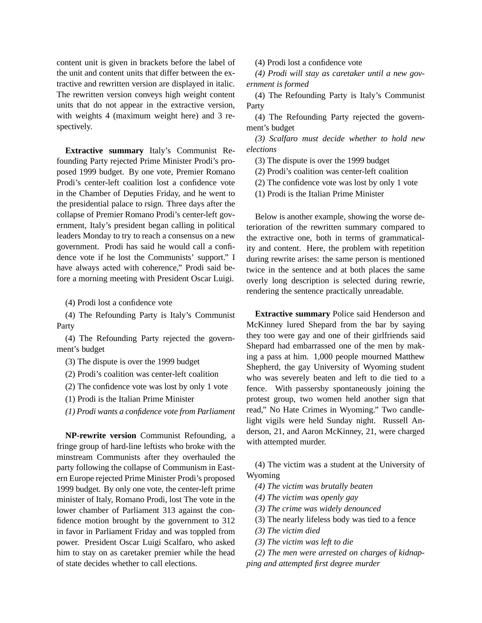content unit is given in brackets before the label of the unit and content units that differ between the extractive and rewritten version are displayed in italic. The rewritten version conveys high weight content units that do not appear in the extractive version, with weights 4 (maximum weight here) and 3 respectively.

**Extractive summary** Italy's Communist Refounding Party rejected Prime Minister Prodi's proposed 1999 budget. By one vote, Premier Romano Prodi's center-left coalition lost a confidence vote in the Chamber of Deputies Friday, and he went to the presidential palace to rsign. Three days after the collapse of Premier Romano Prodi's center-left government, Italy's president began calling in political leaders Monday to try to reach a consensus on a new government. Prodi has said he would call a confidence vote if he lost the Communists' support." I have always acted with coherence," Prodi said before a morning meeting with President Oscar Luigi.

(4) Prodi lost a confidence vote

(4) The Refounding Party is Italy's Communist Party

(4) The Refounding Party rejected the government's budget

(3) The dispute is over the 1999 budget

(2) Prodi's coalition was center-left coalition

(2) The confidence vote was lost by only 1 vote

(1) Prodi is the Italian Prime Minister

*(1) Prodi wants a confidence vote from Parliament*

**NP-rewrite version** Communist Refounding, a fringe group of hard-line leftists who broke with the minstream Communists after they overhauled the party following the collapse of Communism in Eastern Europe rejected Prime Minister Prodi's proposed 1999 budget. By only one vote, the center-left prime minister of Italy, Romano Prodi, lost The vote in the lower chamber of Parliament 313 against the confidence motion brought by the government to 312 in favor in Parliament Friday and was toppled from power. President Oscar Luigi Scalfaro, who asked him to stay on as caretaker premier while the head of state decides whether to call elections.

(4) Prodi lost a confidence vote

*(4) Prodi will stay as caretaker until a new government is formed*

(4) The Refounding Party is Italy's Communist Party

(4) The Refounding Party rejected the government's budget

*(3) Scalfaro must decide whether to hold new elections*

(3) The dispute is over the 1999 budget

(2) Prodi's coalition was center-left coalition

(2) The confidence vote was lost by only 1 vote

(1) Prodi is the Italian Prime Minister

Below is another example, showing the worse deterioration of the rewritten summary compared to the extractive one, both in terms of grammaticality and content. Here, the problem with repetition during rewrite arises: the same person is mentioned twice in the sentence and at both places the same overly long description is selected during rewrie, rendering the sentence practically unreadable.

**Extractive summary** Police said Henderson and McKinney lured Shepard from the bar by saying they too were gay and one of their girlfriends said Shepard had embarrassed one of the men by making a pass at him. 1,000 people mourned Matthew Shepherd, the gay University of Wyoming student who was severely beaten and left to die tied to a fence. With passersby spontaneously joining the protest group, two women held another sign that read," No Hate Crimes in Wyoming." Two candlelight vigils were held Sunday night. Russell Anderson, 21, and Aaron McKinney, 21, were charged with attempted murder.

(4) The victim was a student at the University of Wyoming

*(4) The victim was brutally beaten*

*(4) The victim was openly gay*

*(3) The crime was widely denounced*

(3) The nearly lifeless body was tied to a fence

*(3) The victim died*

*(3) The victim was left to die*

*(2) The men were arrested on charges of kidnapping and attempted first degree murder*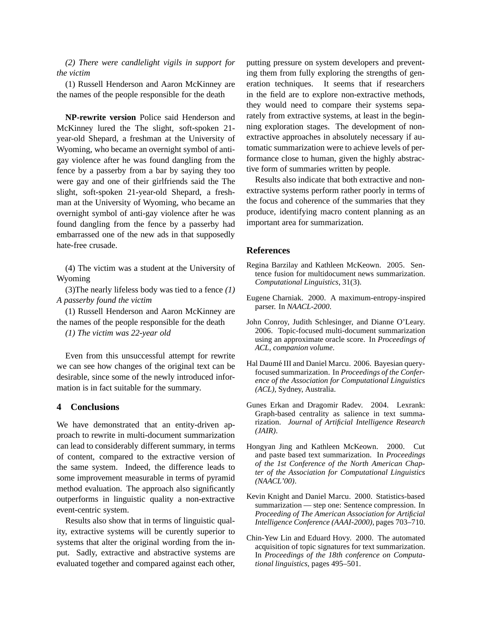*(2) There were candlelight vigils in support for the victim*

(1) Russell Henderson and Aaron McKinney are the names of the people responsible for the death

**NP-rewrite version** Police said Henderson and McKinney lured the The slight, soft-spoken 21 year-old Shepard, a freshman at the University of Wyoming, who became an overnight symbol of antigay violence after he was found dangling from the fence by a passerby from a bar by saying they too were gay and one of their girlfriends said the The slight, soft-spoken 21-year-old Shepard, a freshman at the University of Wyoming, who became an overnight symbol of anti-gay violence after he was found dangling from the fence by a passerby had embarrassed one of the new ads in that supposedly hate-free crusade.

(4) The victim was a student at the University of Wyoming

(3)The nearly lifeless body was tied to a fence *(1) A passerby found the victim*

(1) Russell Henderson and Aaron McKinney are the names of the people responsible for the death

*(1) The victim was 22-year old*

Even from this unsuccessful attempt for rewrite we can see how changes of the original text can be desirable, since some of the newly introduced information is in fact suitable for the summary.

#### **4 Conclusions**

We have demonstrated that an entity-driven approach to rewrite in multi-document summarization can lead to considerably different summary, in terms of content, compared to the extractive version of the same system. Indeed, the difference leads to some improvement measurable in terms of pyramid method evaluation. The approach also significantly outperforms in linguistic quality a non-extractive event-centric system.

Results also show that in terms of linguistic quality, extractive systems will be curently superior to systems that alter the original wording from the input. Sadly, extractive and abstractive systems are evaluated together and compared against each other, putting pressure on system developers and preventing them from fully exploring the strengths of generation techniques. It seems that if researchers in the field are to explore non-extractive methods, they would need to compare their systems separately from extractive systems, at least in the beginning exploration stages. The development of nonextractive approaches in absolutely necessary if automatic summarization were to achieve levels of performance close to human, given the highly abstractive form of summaries written by people.

Results also indicate that both extractive and nonextractive systems perform rather poorly in terms of the focus and coherence of the summaries that they produce, identifying macro content planning as an important area for summarization.

### **References**

- Regina Barzilay and Kathleen McKeown. 2005. Sentence fusion for multidocument news summarization. *Computational Linguistics*, 31(3).
- Eugene Charniak. 2000. A maximum-entropy-inspired parser. In *NAACL-2000*.
- John Conroy, Judith Schlesinger, and Dianne O'Leary. 2006. Topic-focused multi-document summarization using an approximate oracle score. In *Proceedings of ACL, companion volume*.
- Hal Daumé III and Daniel Marcu. 2006. Bayesian queryfocused summarization. In *Proceedings of the Conference of the Association for Computational Linguistics (ACL)*, Sydney, Australia.
- Gunes Erkan and Dragomir Radev. 2004. Lexrank: Graph-based centrality as salience in text summarization. *Journal of Artificial Intelligence Research (JAIR)*.
- Hongyan Jing and Kathleen McKeown. 2000. Cut and paste based text summarization. In *Proceedings of the 1st Conference of the North American Chapter of the Association for Computational Linguistics (NAACL'00)*.
- Kevin Knight and Daniel Marcu. 2000. Statistics-based summarization — step one: Sentence compression. In *Proceeding of The American Association for Artificial Intelligence Conference (AAAI-2000)*, pages 703–710.
- Chin-Yew Lin and Eduard Hovy. 2000. The automated acquisition of topic signatures for text summarization. In *Proceedings of the 18th conference on Computational linguistics*, pages 495–501.